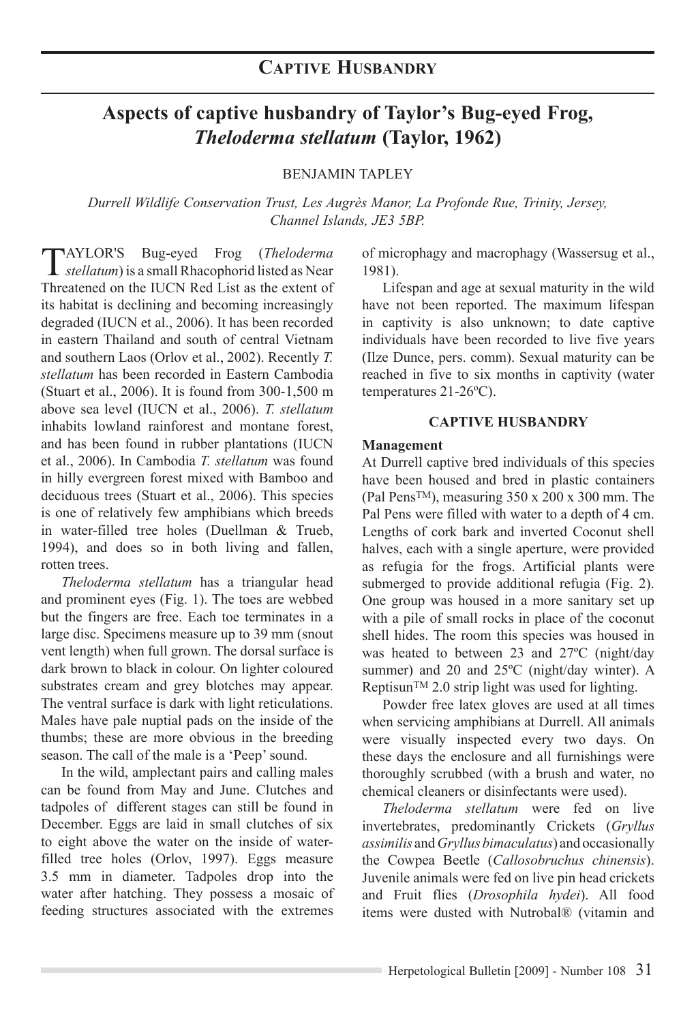# **Aspects of captive husbandry of Taylor's Bug-eyed Frog,**  *Theloderma stellatum* **(Taylor, 1962)**

BENJAMIN TAPLEY

*Durrell Wildlife Conservation Trust, Les Augrès Manor, La Profonde Rue, Trinity, Jersey, Channel Islands, JE3 5BP.*

Taylor's Bug-eyed Frog (*Theloderma stellatum*) is a small Rhacophorid listed as Near Threatened on the IUCN Red List as the extent of its habitat is declining and becoming increasingly degraded (IUCN et al., 2006). It has been recorded in eastern Thailand and south of central Vietnam and southern Laos (Orlov et al., 2002). Recently *T. stellatum* has been recorded in Eastern Cambodia (Stuart et al., 2006). It is found from 300-1,500 m above sea level (IUCN et al., 2006). *T. stellatum*  inhabits lowland rainforest and montane forest, and has been found in rubber plantations (IUCN et al., 2006). In Cambodia *T. stellatum* was found in hilly evergreen forest mixed with Bamboo and deciduous trees (Stuart et al., 2006). This species is one of relatively few amphibians which breeds in water-filled tree holes (Duellman & Trueb, 1994), and does so in both living and fallen, rotten trees.

*Theloderma stellatum* has a triangular head and prominent eyes (Fig. 1). The toes are webbed but the fingers are free. Each toe terminates in a large disc. Specimens measure up to 39 mm (snout vent length) when full grown. The dorsal surface is dark brown to black in colour. On lighter coloured substrates cream and grey blotches may appear. The ventral surface is dark with light reticulations. Males have pale nuptial pads on the inside of the thumbs; these are more obvious in the breeding season. The call of the male is a 'Peep' sound.

In the wild, amplectant pairs and calling males can be found from May and June. Clutches and tadpoles of different stages can still be found in December. Eggs are laid in small clutches of six to eight above the water on the inside of waterfilled tree holes (Orlov, 1997). Eggs measure 3.5 mm in diameter. Tadpoles drop into the water after hatching. They possess a mosaic of feeding structures associated with the extremes

of microphagy and macrophagy (Wassersug et al., 1981).

Lifespan and age at sexual maturity in the wild have not been reported. The maximum lifespan in captivity is also unknown; to date captive individuals have been recorded to live five years (Ilze Dunce, pers. comm). Sexual maturity can be reached in five to six months in captivity (water temperatures 21-26ºC).

#### **Captive HUSBANDRY**

#### **Management**

At Durrell captive bred individuals of this species have been housed and bred in plastic containers (Pal PensTM), measuring 350 x 200 x 300 mm. The Pal Pens were filled with water to a depth of 4 cm. Lengths of cork bark and inverted Coconut shell halves, each with a single aperture, were provided as refugia for the frogs. Artificial plants were submerged to provide additional refugia (Fig. 2). One group was housed in a more sanitary set up with a pile of small rocks in place of the coconut shell hides. The room this species was housed in was heated to between 23 and 27ºC (night/day summer) and 20 and 25ºC (night/day winter). A Reptisun<sup>TM</sup> 2.0 strip light was used for lighting.

Powder free latex gloves are used at all times when servicing amphibians at Durrell. All animals were visually inspected every two days. On these days the enclosure and all furnishings were thoroughly scrubbed (with a brush and water, no chemical cleaners or disinfectants were used).

*Theloderma stellatum* were fed on live invertebrates, predominantly Crickets (*Gryllus assimilis* and *Gryllus bimaculatus*) and occasionally the Cowpea Beetle (*Callosobruchus chinensis*). Juvenile animals were fed on live pin head crickets and Fruit flies (*Drosophila hydei*). All food items were dusted with Nutrobal® (vitamin and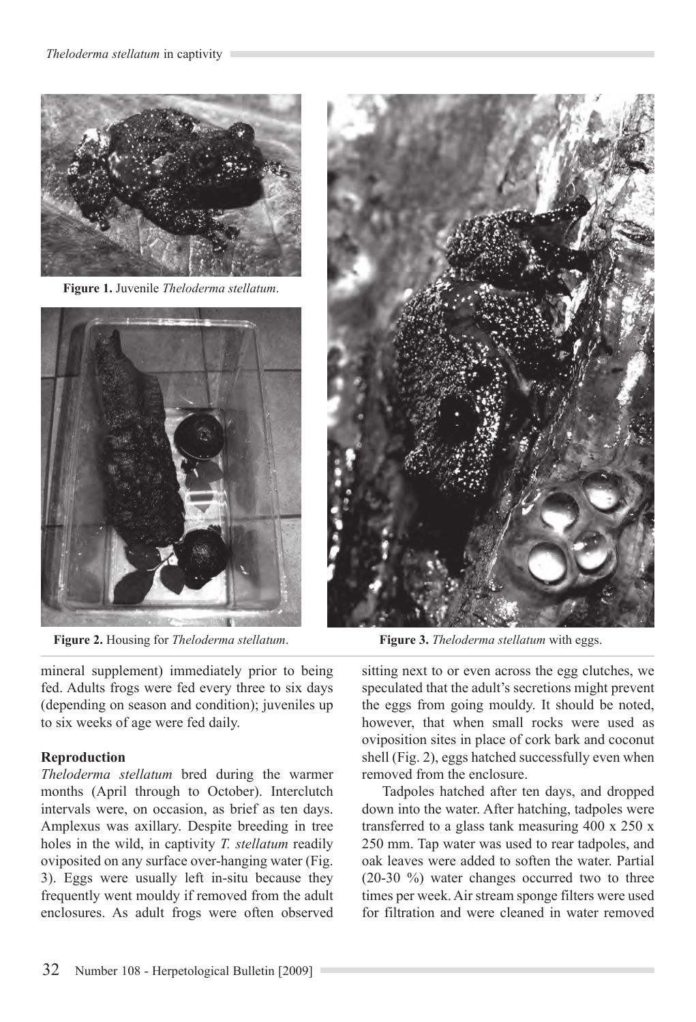

**Figure 1.** Juvenile *Theloderma stellatum*.



**Figure 2.** Housing for *Theloderma stellatum*.

mineral supplement) immediately prior to being fed. Adults frogs were fed every three to six days (depending on season and condition); juveniles up to six weeks of age were fed daily.

## **Reproduction**

*Theloderma stellatum* bred during the warmer months (April through to October). Interclutch intervals were, on occasion, as brief as ten days. Amplexus was axillary. Despite breeding in tree holes in the wild, in captivity *T. stellatum* readily oviposited on any surface over-hanging water (Fig. 3). Eggs were usually left in-situ because they frequently went mouldy if removed from the adult enclosures. As adult frogs were often observed



**Figure 3.** *Theloderma stellatum* with eggs.

sitting next to or even across the egg clutches, we speculated that the adult's secretions might prevent the eggs from going mouldy. It should be noted, however, that when small rocks were used as oviposition sites in place of cork bark and coconut shell (Fig. 2), eggs hatched successfully even when removed from the enclosure.

Tadpoles hatched after ten days, and dropped down into the water. After hatching, tadpoles were transferred to a glass tank measuring 400 x 250 x 250 mm. Tap water was used to rear tadpoles, and oak leaves were added to soften the water. Partial (20-30 %) water changes occurred two to three times per week. Air stream sponge filters were used for filtration and were cleaned in water removed